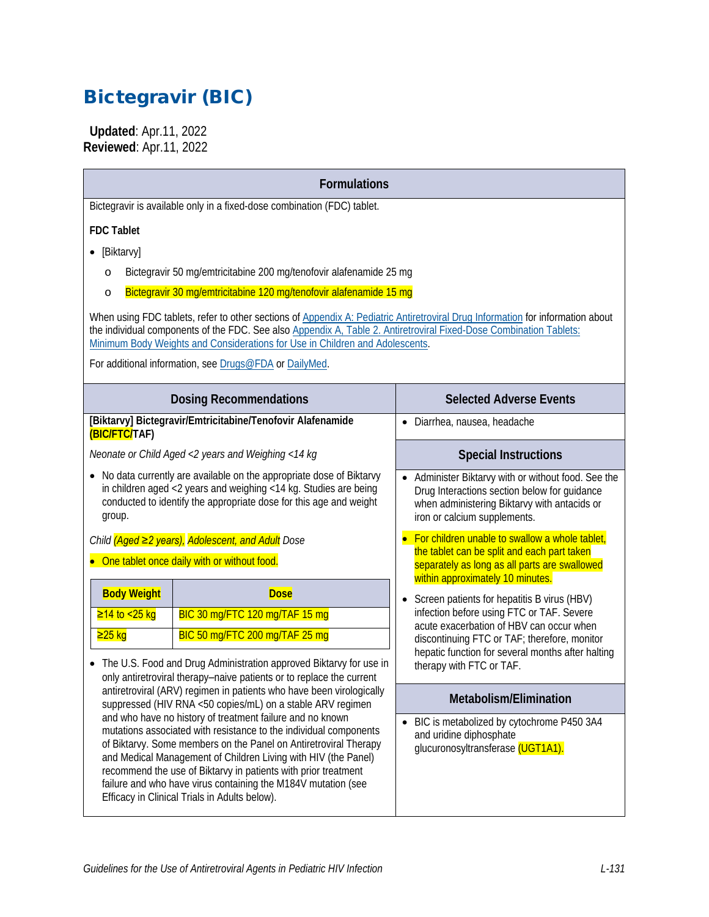# Bictegravir (BIC)

 **Updated**: Apr.11, 2022 **Reviewed**: Apr.11, 2022

| <b>Formulations</b>                                                                                                                                                                                                                                                                                                                                                                                                                                      |                                                                                                                                                                                                                                                                                    |  |  |  |  |  |  |
|----------------------------------------------------------------------------------------------------------------------------------------------------------------------------------------------------------------------------------------------------------------------------------------------------------------------------------------------------------------------------------------------------------------------------------------------------------|------------------------------------------------------------------------------------------------------------------------------------------------------------------------------------------------------------------------------------------------------------------------------------|--|--|--|--|--|--|
| Bictegravir is available only in a fixed-dose combination (FDC) tablet.                                                                                                                                                                                                                                                                                                                                                                                  |                                                                                                                                                                                                                                                                                    |  |  |  |  |  |  |
| <b>FDC Tablet</b>                                                                                                                                                                                                                                                                                                                                                                                                                                        |                                                                                                                                                                                                                                                                                    |  |  |  |  |  |  |
| [Biktarvy]                                                                                                                                                                                                                                                                                                                                                                                                                                               |                                                                                                                                                                                                                                                                                    |  |  |  |  |  |  |
| Bictegravir 50 mg/emtricitabine 200 mg/tenofovir alafenamide 25 mg<br>$\circ$                                                                                                                                                                                                                                                                                                                                                                            |                                                                                                                                                                                                                                                                                    |  |  |  |  |  |  |
| Bictegravir 30 mg/emtricitabine 120 mg/tenofovir alafenamide 15 mg<br>$\circ$                                                                                                                                                                                                                                                                                                                                                                            |                                                                                                                                                                                                                                                                                    |  |  |  |  |  |  |
| When using FDC tablets, refer to other sections of Appendix A: Pediatric Antiretroviral Drug Information for information about<br>the individual components of the FDC. See also Appendix A, Table 2. Antiretroviral Fixed-Dose Combination Tablets:<br>Minimum Body Weights and Considerations for Use in Children and Adolescents.                                                                                                                     |                                                                                                                                                                                                                                                                                    |  |  |  |  |  |  |
| For additional information, see Drugs@FDA or DailyMed.                                                                                                                                                                                                                                                                                                                                                                                                   |                                                                                                                                                                                                                                                                                    |  |  |  |  |  |  |
| <b>Dosing Recommendations</b>                                                                                                                                                                                                                                                                                                                                                                                                                            | <b>Selected Adverse Events</b>                                                                                                                                                                                                                                                     |  |  |  |  |  |  |
| [Biktarvy] Bictegravir/Emtricitabine/Tenofovir Alafenamide<br>(BIC/FTC/TAF)                                                                                                                                                                                                                                                                                                                                                                              | · Diarrhea, nausea, headache                                                                                                                                                                                                                                                       |  |  |  |  |  |  |
| Neonate or Child Aged <2 years and Weighing <14 kg                                                                                                                                                                                                                                                                                                                                                                                                       | <b>Special Instructions</b>                                                                                                                                                                                                                                                        |  |  |  |  |  |  |
| No data currently are available on the appropriate dose of Biktarvy<br>in children aged <2 years and weighing <14 kg. Studies are being<br>conducted to identify the appropriate dose for this age and weight<br>group.                                                                                                                                                                                                                                  | • Administer Biktarvy with or without food. See the<br>Drug Interactions section below for guidance<br>when administering Biktarvy with antacids or<br>iron or calcium supplements.<br>• For children unable to swallow a whole tablet,                                            |  |  |  |  |  |  |
| Child (Aged ≥2 years), Adolescent, and Adult Dose                                                                                                                                                                                                                                                                                                                                                                                                        |                                                                                                                                                                                                                                                                                    |  |  |  |  |  |  |
| • One tablet once daily with or without food.                                                                                                                                                                                                                                                                                                                                                                                                            | the tablet can be split and each part taken<br>separately as long as all parts are swallowed<br>within approximately 10 minutes.                                                                                                                                                   |  |  |  |  |  |  |
| <b>Body Weight</b><br><b>Dose</b><br>BIC 30 mg/FTC 120 mg/TAF 15 mg<br>≥14 to <25 kg<br><mark>≥25 kg</mark><br>BIC 50 mg/FTC 200 mg/TAF 25 mg<br>• The U.S. Food and Drug Administration approved Biktarvy for use in<br>only antiretroviral therapy-naive patients or to replace the current                                                                                                                                                            | Screen patients for hepatitis B virus (HBV)<br>$\bullet$<br>infection before using FTC or TAF. Severe<br>acute exacerbation of HBV can occur when<br>discontinuing FTC or TAF; therefore, monitor<br>hepatic function for several months after halting<br>therapy with FTC or TAF. |  |  |  |  |  |  |
| antiretroviral (ARV) regimen in patients who have been virologically<br>suppressed (HIV RNA <50 copies/mL) on a stable ARV regimen                                                                                                                                                                                                                                                                                                                       | Metabolism/Elimination                                                                                                                                                                                                                                                             |  |  |  |  |  |  |
| and who have no history of treatment failure and no known<br>mutations associated with resistance to the individual components<br>of Biktarvy. Some members on the Panel on Antiretroviral Therapy<br>and Medical Management of Children Living with HIV (the Panel)<br>recommend the use of Biktarvy in patients with prior treatment<br>failure and who have virus containing the M184V mutation (see<br>Efficacy in Clinical Trials in Adults below). | BIC is metabolized by cytochrome P450 3A4<br>$\bullet$<br>and uridine diphosphate<br>glucuronosyltransferase (UGT1A1).                                                                                                                                                             |  |  |  |  |  |  |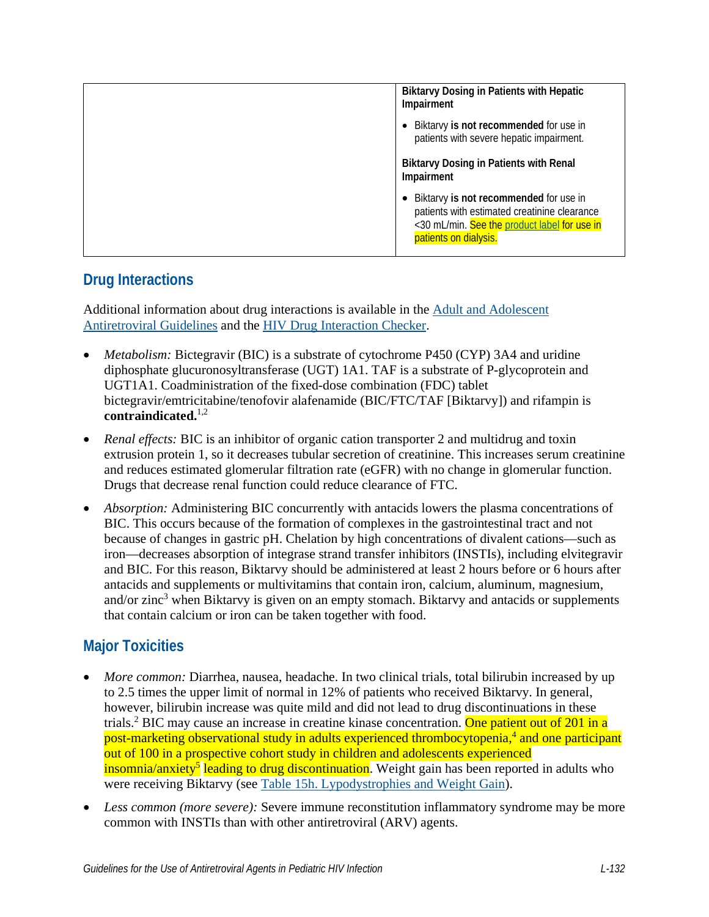| <b>Biktarvy Dosing in Patients with Hepatic</b><br>Impairment                                                                                                   |  |  |
|-----------------------------------------------------------------------------------------------------------------------------------------------------------------|--|--|
| Biktarvy is not recommended for use in<br>patients with severe hepatic impairment.                                                                              |  |  |
| <b>Biktarvy Dosing in Patients with Renal</b><br>Impairment                                                                                                     |  |  |
| Biktarvy is not recommended for use in<br>patients with estimated creatinine clearance<br><30 mL/min. See the product label for use in<br>patients on dialysis. |  |  |

## **Drug Interactions**

Additional information about drug interactions is available in the [Adult and Adolescent](https://clinicalinfo.hiv.gov/en/guidelines/adult-and-adolescent-arv/whats-new-guidelines)  [Antiretroviral Guidelines](https://clinicalinfo.hiv.gov/en/guidelines/adult-and-adolescent-arv/whats-new-guidelines) and the [HIV Drug Interaction Checker.](http://www.hiv-druginteractions.org/)

- *Metabolism:* Bictegravir (BIC) is a substrate of cytochrome P450 (CYP) 3A4 and uridine diphosphate glucuronosyltransferase (UGT) 1A1. TAF is a substrate of P-glycoprotein and UGT1A1. Coadministration of the fixed-dose combination (FDC) tablet bictegravir/emtricitabine/tenofovir alafenamide (BIC/FTC/TAF [Biktarvy]) and rifampin is **contraindicated.**[1,](#page-6-0)[2](#page-6-1)
- *Renal effects:* BIC is an inhibitor of organic cation transporter 2 and multidrug and toxin extrusion protein 1, so it decreases tubular secretion of creatinine. This increases serum creatinine and reduces estimated glomerular filtration rate (eGFR) with no change in glomerular function. Drugs that decrease renal function could reduce clearance of FTC.
- *Absorption:* Administering BIC concurrently with antacids lowers the plasma concentrations of BIC. This occurs because of the formation of complexes in the gastrointestinal tract and not because of changes in gastric pH. Chelation by high concentrations of divalent cations—such as iron—decreases absorption of integrase strand transfer inhibitors (INSTIs), including elvitegravir and BIC. For this reason, Biktarvy should be administered at least 2 hours before or 6 hours after antacids and supplements or multivitamins that contain iron, calcium, aluminum, magnesium, and/or zinc<sup>[3](#page-6-2)</sup> when Biktarvy is given on an empty stomach. Biktarvy and antacids or supplements that contain calcium or iron can be taken together with food.

## **Major Toxicities**

- *More common:* Diarrhea, nausea, headache. In two clinical trials, total bilirubin increased by up to 2.5 times the upper limit of normal in 12% of patients who received Biktarvy. In general, however, bilirubin increase was quite mild and did not lead to drug discontinuations in these trials.<sup>[2](#page-6-1)</sup> BIC may cause an increase in creatine kinase concentration. <mark>One patient out of 201 in a</mark> post-marketing observational study in adults experienced thrombocytopenia,<sup>4</sup> and one participant out of 100 in a prospective cohort study in children and adolescents experienced insomnia/anxiety<sup>5</sup> leading to drug discontinuation. Weight gain has been reported in adults who were receiving Biktarvy (see [Table 15h. Lypodystrophies and Weight Gain\)](https://clinicalinfo.hiv.gov/en/guidelines/pediatric-arv/lipodystrophies-and-weight-gain).
- *Less common (more severe):* Severe immune reconstitution inflammatory syndrome may be more common with INSTIs than with other antiretroviral (ARV) agents.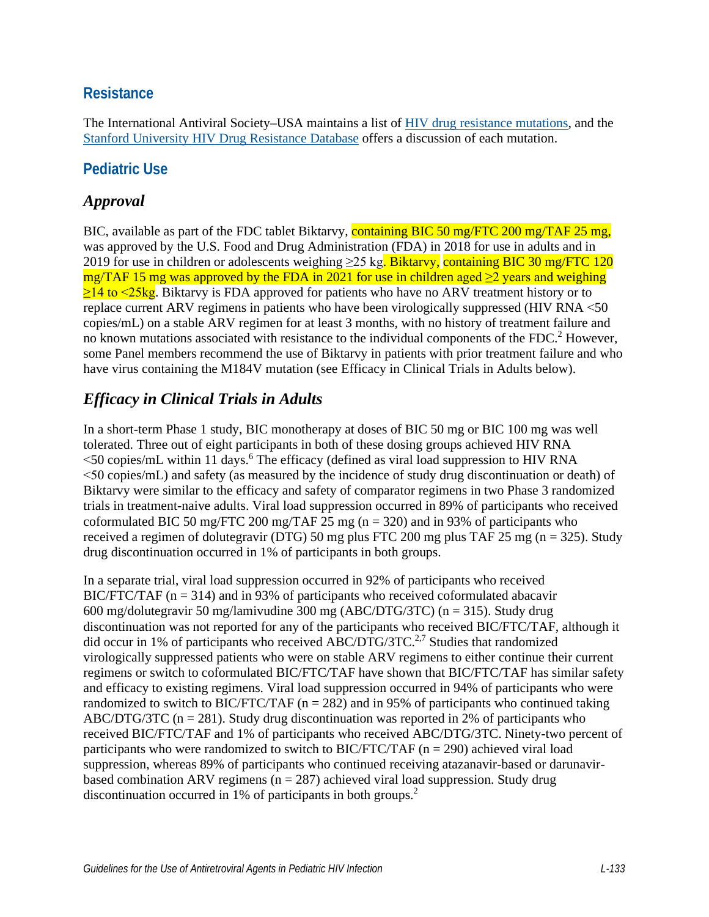#### **Resistance**

The International Antiviral Society–USA maintains a list of [HIV drug resistance mutations,](https://www.iasusa.org/resources/hiv-drug-resistance-mutations/) and the [Stanford University HIV Drug Resistance Database](http://hivdb.stanford.edu/DR/) offers a discussion of each mutation.

### **Pediatric Use**

## *Approval*

BIC, available as part of the FDC tablet Biktarvy, containing BIC 50 mg/FTC 200 mg/TAF 25 mg, was approved by the U.S. Food and Drug Administration (FDA) in 2018 for use in adults and in 2019 for use in children or adolescents weighing  $\geq$ 25 kg. Biktarvy, containing BIC 30 mg/FTC 120 mg/TAF 15 mg was approved by the FDA in 2021 for use in children aged  $\geq 2$  years and weighing  $\geq$ 14 to  $\leq$ 25kg. Biktarvy is FDA approved for patients who have no ARV treatment history or to replace current ARV regimens in patients who have been virologically suppressed (HIV RNA <50 copies/mL) on a stable ARV regimen for at least 3 months, with no history of treatment failure and no known mutations associated with resistance to the individual components of the FDC.<sup>[2](#page-6-1)</sup> However, some Panel members recommend the use of Biktarvy in patients with prior treatment failure and who have virus containing the M184V mutation (see Efficacy in Clinical Trials in Adults below).

## *Efficacy in Clinical Trials in Adults*

In a short-term Phase 1 study, BIC monotherapy at doses of BIC 50 mg or BIC 100 mg was well tolerated. Three out of eight participants in both of these dosing groups achieved HIV RNA <50 copies/mL within 11 days.<sup>[6](#page-6-5)</sup> The efficacy (defined as viral load suppression to HIV RNA <50 copies/mL) and safety (as measured by the incidence of study drug discontinuation or death) of Biktarvy were similar to the efficacy and safety of comparator regimens in two Phase 3 randomized trials in treatment-naive adults. Viral load suppression occurred in 89% of participants who received coformulated BIC 50 mg/FTC 200 mg/TAF 25 mg ( $n = 320$ ) and in 93% of participants who received a regimen of dolutegravir (DTG) 50 mg plus FTC 200 mg plus TAF 25 mg (n = 325). Study drug discontinuation occurred in 1% of participants in both groups.

In a separate trial, viral load suppression occurred in 92% of participants who received  $BIC/FTC/TAF$  ( $n = 314$ ) and in 93% of participants who received coformulated abacavir 600 mg/dolutegravir 50 mg/lamivudine 300 mg (ABC/DTG/3TC) (n = 315). Study drug discontinuation was not reported for any of the participants who received BIC/FTC/TAF, although it did occur in 1% of participants who received ABC/DTG/3TC.<sup>[2](#page-6-1)[,7](#page-6-6)</sup> Studies that randomized virologically suppressed patients who were on stable ARV regimens to either continue their current regimens or switch to coformulated BIC/FTC/TAF have shown that BIC/FTC/TAF has similar safety and efficacy to existing regimens. Viral load suppression occurred in 94% of participants who were randomized to switch to BIC/FTC/TAF ( $n = 282$ ) and in 95% of participants who continued taking ABC/DTG/3TC ( $n = 281$ ). Study drug discontinuation was reported in 2% of participants who received BIC/FTC/TAF and 1% of participants who received ABC/DTG/3TC. Ninety-two percent of participants who were randomized to switch to BIC/FTC/TAF ( $n = 290$ ) achieved viral load suppression, whereas 89% of participants who continued receiving atazanavir-based or darunavirbased combination ARV regimens ( $n = 287$ ) achieved viral load suppression. Study drug discontinuation occurred in 1% of participants in both groups.<sup>2</sup>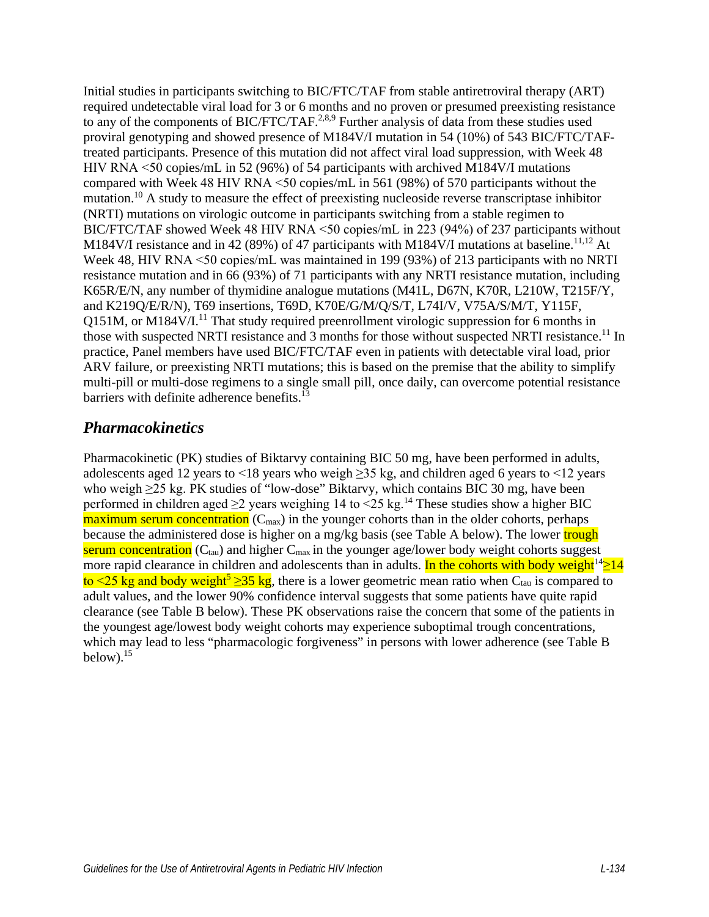Initial studies in participants switching to BIC/FTC/TAF from stable antiretroviral therapy (ART) required undetectable viral load for 3 or 6 months and no proven or presumed preexisting resistance to any of the components of BIC/FTC/TAF.<sup>[2,](#page-6-1)[8](#page-6-7)[,9](#page-6-8)</sup> Further analysis of data from these studies used proviral genotyping and showed presence of M184V/I mutation in 54 (10%) of 543 BIC/FTC/TAFtreated participants. Presence of this mutation did not affect viral load suppression, with Week 48 HIV RNA <50 copies/mL in 52 (96%) of 54 participants with archived M184V/I mutations compared with Week 48 HIV RNA <50 copies/mL in 561 (98%) of 570 participants without the mutation[.10](#page-6-9) A study to measure the effect of preexisting nucleoside reverse transcriptase inhibitor (NRTI) mutations on virologic outcome in participants switching from a stable regimen to BIC/FTC/TAF showed Week 48 HIV RNA <50 copies/mL in 223 (94%) of 237 participants without M184V/I resistance and in 42 (89%) of 47 participants with M184V/I mutations at baseline.<sup>[11,](#page-7-0)[12](#page-7-1)</sup> At Week 48, HIV RNA <50 copies/mL was maintained in 199 (93%) of 213 participants with no NRTI resistance mutation and in 66 (93%) of 71 participants with any NRTI resistance mutation, including K65R/E/N, any number of thymidine analogue mutations (M41L, D67N, K70R, L210W, T215F/Y, and K219Q/E/R/N), T69 insertions, T69D, K70E/G/M/Q/S/T, L74I/V, V75A/S/M/T, Y115F, Q151M, or M184V/ $I<sup>11</sup>$  That study required preenrollment virologic suppression for 6 months in those with suspected NRTI resistance and  $3$  months for those without suspected NRTI resistance.<sup>11</sup> In practice, Panel members have used BIC/FTC/TAF even in patients with detectable viral load, prior ARV failure, or preexisting NRTI mutations; this is based on the premise that the ability to simplify multi-pill or multi-dose regimens to a single small pill, once daily, can overcome potential resistance barriers with definite adherence benefits. $^{13}$ 

### *Pharmacokinetics*

Pharmacokinetic (PK) studies of Biktarvy containing BIC 50 mg, have been performed in adults, adolescents aged 12 years to <18 years who weigh  $\geq$ 35 kg, and children aged 6 years to <12 years who weigh ≥25 kg. PK studies of "low-dose" Biktarvy, which contains BIC 30 mg, have been performed in children aged  $\geq$ 2 years weighing [14](#page-7-3) to <25 kg.<sup>14</sup> These studies show a higher BIC  $maximum$  serum concentration ( $C_{max}$ ) in the younger cohorts than in the older cohorts, perhaps because the administered dose is higher on a mg/kg basis (see Table A below). The lower trough serum concentration  $(C_{tau})$  and higher  $C_{max}$  in the younger age/lower body weight cohorts suggest more rapid clearance in children and adolescents than in adults. In the cohorts with body weight<sup>14</sup> $\geq$ 14 [t](#page-6-4)o <25 kg and body weight<sup>5</sup>  $\geq$ 35 kg, there is a lower geometric mean ratio when C<sub>tau</sub> is compared to adult values, and the lower 90% confidence interval suggests that some patients have quite rapid clearance (see Table B below). These PK observations raise the concern that some of the patients in the youngest age/lowest body weight cohorts may experience suboptimal trough concentrations, which may lead to less "pharmacologic forgiveness" in persons with lower adherence (see Table B below). $15$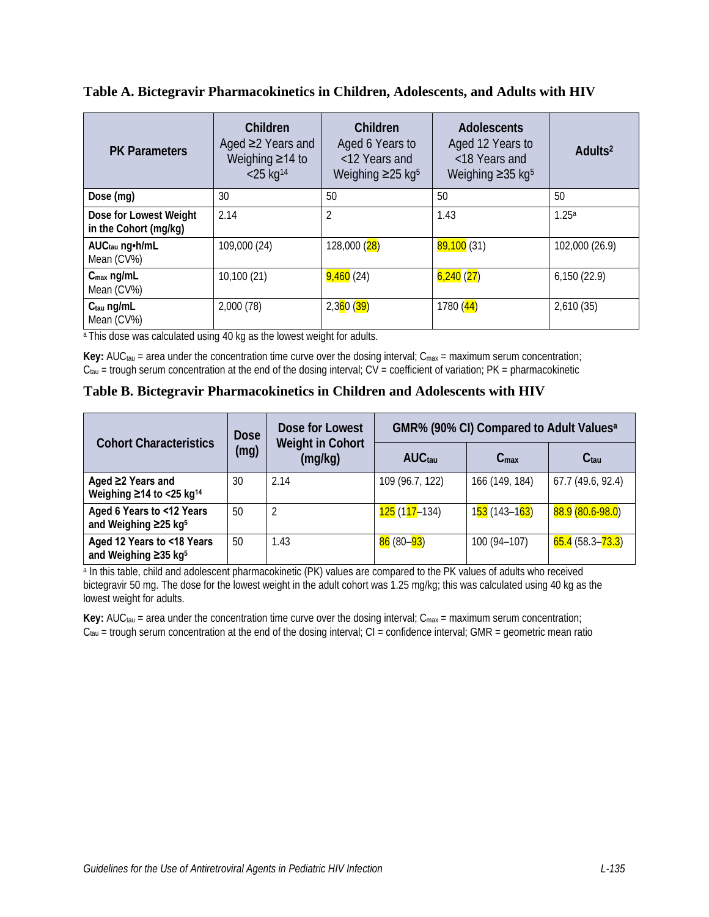**Table A. Bictegravir Pharmacokinetics in Children, Adolescents, and Adults with HIV**

| <b>PK Parameters</b>                            | Children<br>Aged $\geq$ Years and<br>Weighing $\geq$ 14 to<br>$<$ 25 kg <sup>14</sup> | Children<br>Aged 6 Years to<br><12 Years and<br>Weighing $\geq$ 25 kg <sup>5</sup> | <b>Adolescents</b><br>Aged 12 Years to<br><18 Years and<br>Weighing $\geq$ 35 kg <sup>5</sup> | Adults <sup>2</sup> |
|-------------------------------------------------|---------------------------------------------------------------------------------------|------------------------------------------------------------------------------------|-----------------------------------------------------------------------------------------------|---------------------|
| Dose (mg)                                       | 30                                                                                    | 50                                                                                 | 50                                                                                            | 50                  |
| Dose for Lowest Weight<br>in the Cohort (mg/kg) | 2.14                                                                                  | 2                                                                                  | 1.43                                                                                          | 1.25a               |
| AUC <sub>tau</sub> ng h/mL<br>Mean (CV%)        | 109,000 (24)                                                                          | 128,000 (28)                                                                       | 89,100(31)                                                                                    | 102,000 (26.9)      |
| $C_{\text{max}}$ ng/mL<br>Mean (CV%)            | 10,100 (21)                                                                           | 9,460 <sup>(24)</sup>                                                              | 6,240(27)                                                                                     | 6,150(22.9)         |
| Ctau ng/mL<br>Mean (CV%)                        | 2,000(78)                                                                             | 2,360(39)                                                                          | 1780(44)                                                                                      | 2,610(35)           |

<sup>a</sup> This dose was calculated using 40 kg as the lowest weight for adults.

Key: AUC<sub>tau</sub> = area under the concentration time curve over the dosing interval; C<sub>max</sub> = maximum serum concentration;  $C_{tau}$  = trough serum concentration at the end of the dosing interval;  $CV = coefficient$  of variation;  $PK = parameter$ 

**Table B. Bictegravir Pharmacokinetics in Children and Adolescents with HIV**

| <b>Cohort Characteristics</b>                                   | Dose<br>(mq) | Dose for Lowest<br><b>Weight in Cohort</b><br>(mg/kg) | GMR% (90% CI) Compared to Adult Values <sup>a</sup> |                                            |                     |
|-----------------------------------------------------------------|--------------|-------------------------------------------------------|-----------------------------------------------------|--------------------------------------------|---------------------|
|                                                                 |              |                                                       | AUC <sub>tau</sub>                                  | C <sub>max</sub>                           | C <sub>tau</sub>    |
| Aged ≥2 Years and<br>Weighing $\geq$ 14 to <25 kg <sup>14</sup> | 30           | 2.14                                                  | 109 (96.7, 122)                                     | 166 (149, 184)                             | 67.7 (49.6, 92.4)   |
| Aged 6 Years to <12 Years<br>and Weighing ≥25 kg <sup>5</sup>   | 50           | 2                                                     | 125 (1 <mark>17</mark> –134)                        | 1 <mark>53</mark> (143–1 <mark>63</mark> ) | 88.9 (80.6-98.0)    |
| Aged 12 Years to <18 Years<br>and Weighing ≥35 kg <sup>5</sup>  | 50           | 1.43                                                  | 86 (80– <mark>93</mark> )                           | 100 (94-107)                               | $65.4(58.3 - 73.3)$ |

a In this table, child and adolescent pharmacokinetic (PK) values are compared to the PK values of adults who received bictegravir 50 mg. The dose for the lowest weight in the adult cohort was 1.25 mg/kg; this was calculated using 40 kg as the lowest weight for adults.

Key: AUC<sub>tau</sub> = area under the concentration time curve over the dosing interval; C<sub>max</sub> = maximum serum concentration;  $C_{\text{tau}}$  = trough serum concentration at the end of the dosing interval;  $CI$  = confidence interval; GMR = geometric mean ratio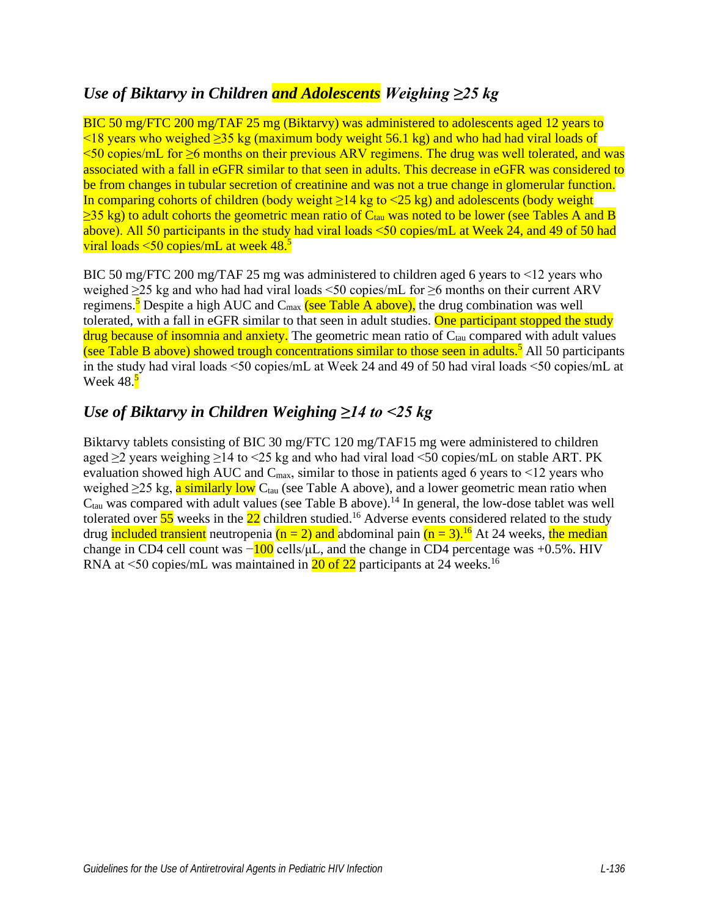## *Use of Biktarvy in Children and Adolescents Weighing ≥25 kg*

BIC 50 mg/FTC 200 mg/TAF 25 mg (Biktarvy) was administered to adolescents aged 12 years to  $\leq$ 18 years who weighed  $\geq$ 35 kg (maximum body weight 56.1 kg) and who had had viral loads of <50 copies/mL for ≥6 months on their previous ARV regimens. The drug was well tolerated, and was associated with a fall in eGFR similar to that seen in adults. This decrease in eGFR was considered to be from changes in tubular secretion of creatinine and was not a true change in glomerular function. In comparing cohorts of children (body weight ≥14 kg to <25 kg) and adolescents (body weight  $\geq$ 35 kg) to adult cohorts the geometric mean ratio of C<sub>tau</sub> was noted to be lower (see Tables A and B above). All 50 participants in the study had viral loads <50 copies/mL at Week 24, and 49 of 50 had viral loads <50 copies/mL at week 48.<sup>5</sup>

BIC 50 mg/FTC 200 mg/TAF 25 mg was administered to children aged 6 years to <12 years who weighed  $\geq$ 25 kg and who had had viral loads <50 copies/mL for  $\geq$ 6 months on their current ARV regimens.<sup>[5](#page-6-4)</sup> Despite a high AUC and C<sub>max</sub> (see Table A above), the drug combination was well tolerated, with a fall in eGFR similar to that seen in adult studies. One participant stopped the study  $d\text{rug because of in}$  and anxiety. The geometric mean ratio of  $C_{tau}$  compared with adult values (see Table B above) showed trough concentrations similar to those seen in adults.<sup>[5](#page-6-4)</sup> All 50 participants in the study had viral loads <50 copies/mL at Week 24 and 49 of 50 had viral loads <50 copies/mL at Week  $48.5$  $48.5$ 

## *Use of Biktarvy in Children Weighing ≥14 to <25 kg*

Biktarvy tablets consisting of BIC 30 mg/FTC 120 mg/TAF15 mg were administered to children aged  $\geq$ 2 years weighing  $\geq$ 14 to <25 kg and who had viral load <50 copies/mL on stable ART. PK evaluation showed high AUC and  $C_{\text{max}}$ , similar to those in patients aged 6 years to <12 years who weighed  $\geq$ 25 kg, a similarly low C<sub>tau</sub> (see Table A above), and a lower geometric mean ratio when  $C<sub>tau</sub>$  was compared with adult values (see Table B above).<sup>14</sup> In general, the low-dose tablet was well tolerated over  $\frac{55}{5}$  weeks in the  $\frac{22}{5}$  children studied.<sup>16</sup> Adverse events considered related to the study drug included transient neutropenia ( $n = 2$ ) and abdominal pain ( $n = 3$ ).<sup>16</sup> At 24 weeks, the median change in CD4 cell count was  $-\frac{100}{100}$  cells/ $\mu$ L, and the change in CD4 percentage was +0.5%. HIV RNA at  $\leq$ 50 copies/mL was maintained in 20 of 22 participants at 24 weeks.<sup>[16](#page-7-5)</sup>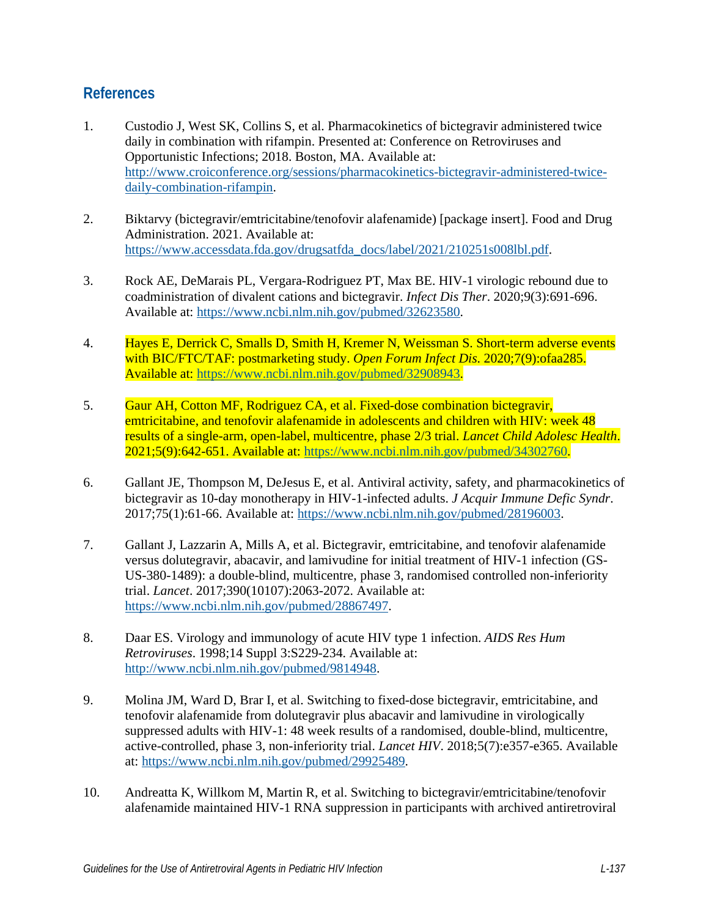### **References**

- <span id="page-6-0"></span>1. Custodio J, West SK, Collins S, et al. Pharmacokinetics of bictegravir administered twice daily in combination with rifampin. Presented at: Conference on Retroviruses and Opportunistic Infections; 2018. Boston, MA. Available at: [http://www.croiconference.org/sessions/pharmacokinetics-bictegravir-administered-twice](http://www.croiconference.org/sessions/pharmacokinetics-bictegravir-administered-twice-daily-combination-rifampin)[daily-combination-rifampin.](http://www.croiconference.org/sessions/pharmacokinetics-bictegravir-administered-twice-daily-combination-rifampin)
- <span id="page-6-1"></span>2. Biktarvy (bictegravir/emtricitabine/tenofovir alafenamide) [package insert]. Food and Drug Administration. 2021. Available at: [https://www.accessdata.fda.gov/drugsatfda\\_docs/label/2021/210251s008lbl.pdf.](https://www.accessdata.fda.gov/drugsatfda_docs/label/2021/210251s008lbl.pdf)
- <span id="page-6-2"></span>3. Rock AE, DeMarais PL, Vergara-Rodriguez PT, Max BE. HIV-1 virologic rebound due to coadministration of divalent cations and bictegravir. *Infect Dis Ther*. 2020;9(3):691-696. Available at: [https://www.ncbi.nlm.nih.gov/pubmed/32623580.](https://www.ncbi.nlm.nih.gov/pubmed/32623580)
- <span id="page-6-3"></span>4. Hayes E, Derrick C, Smalls D, Smith H, Kremer N, Weissman S. Short-term adverse events with BIC/FTC/TAF: postmarketing study. *Open Forum Infect Dis*. 2020;7(9):ofaa285. Available at: [https://www.ncbi.nlm.nih.gov/pubmed/32908943.](https://www.ncbi.nlm.nih.gov/pubmed/32908943)
- <span id="page-6-4"></span>5. Gaur AH, Cotton MF, Rodriguez CA, et al. Fixed-dose combination bictegravir, emtricitabine, and tenofovir alafenamide in adolescents and children with HIV: week 48 results of a single-arm, open-label, multicentre, phase 2/3 trial. *Lancet Child Adolesc Health*. 2021;5(9):642-651. Available at: [https://www.ncbi.nlm.nih.gov/pubmed/34302760.](https://www.ncbi.nlm.nih.gov/pubmed/34302760)
- <span id="page-6-5"></span>6. Gallant JE, Thompson M, DeJesus E, et al. Antiviral activity, safety, and pharmacokinetics of bictegravir as 10-day monotherapy in HIV-1-infected adults. *J Acquir Immune Defic Syndr*. 2017;75(1):61-66. Available at: [https://www.ncbi.nlm.nih.gov/pubmed/28196003.](https://www.ncbi.nlm.nih.gov/pubmed/28196003)
- <span id="page-6-6"></span>7. Gallant J, Lazzarin A, Mills A, et al. Bictegravir, emtricitabine, and tenofovir alafenamide versus dolutegravir, abacavir, and lamivudine for initial treatment of HIV-1 infection (GS-US-380-1489): a double-blind, multicentre, phase 3, randomised controlled non-inferiority trial. *Lancet*. 2017;390(10107):2063-2072. Available at: [https://www.ncbi.nlm.nih.gov/pubmed/28867497.](https://www.ncbi.nlm.nih.gov/pubmed/28867497)
- <span id="page-6-7"></span>8. Daar ES. Virology and immunology of acute HIV type 1 infection. *AIDS Res Hum Retroviruses*. 1998;14 Suppl 3:S229-234. Available at: [http://www.ncbi.nlm.nih.gov/pubmed/9814948.](http://www.ncbi.nlm.nih.gov/pubmed/9814948)
- <span id="page-6-8"></span>9. Molina JM, Ward D, Brar I, et al. Switching to fixed-dose bictegravir, emtricitabine, and tenofovir alafenamide from dolutegravir plus abacavir and lamivudine in virologically suppressed adults with HIV-1: 48 week results of a randomised, double-blind, multicentre, active-controlled, phase 3, non-inferiority trial. *Lancet HIV*. 2018;5(7):e357-e365. Available at: [https://www.ncbi.nlm.nih.gov/pubmed/29925489.](https://www.ncbi.nlm.nih.gov/pubmed/29925489)
- <span id="page-6-9"></span>10. Andreatta K, Willkom M, Martin R, et al. Switching to bictegravir/emtricitabine/tenofovir alafenamide maintained HIV-1 RNA suppression in participants with archived antiretroviral